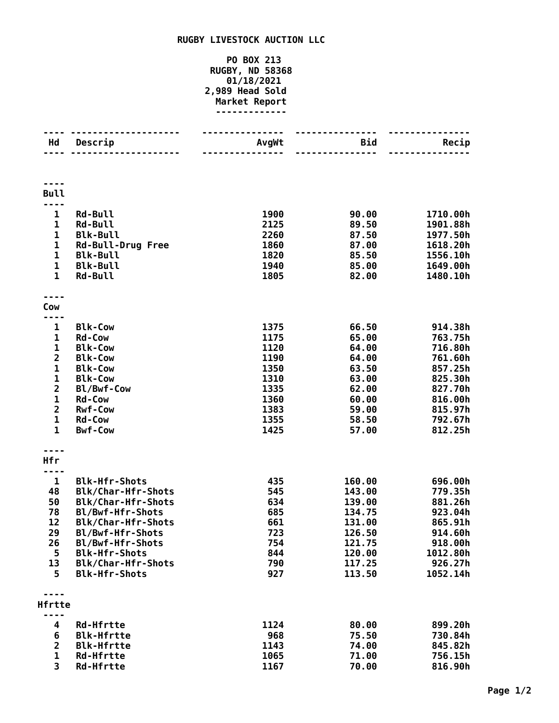## **RUGBY LIVESTOCK AUCTION LLC**

## **PO BOX 213 RUGBY, ND 58368 01/18/2021 2,989 Head Sold Market Report -------------**

| Hd                            | Descrip                                    | AvgWt        | Bid              | Recip                |
|-------------------------------|--------------------------------------------|--------------|------------------|----------------------|
|                               |                                            | .            | <u>.</u>         |                      |
|                               |                                            |              |                  |                      |
| <b>Bull</b>                   |                                            |              |                  |                      |
|                               |                                            |              |                  |                      |
| $\mathbf{1}$<br>1             | <b>Rd-Bull</b><br><b>Rd-Bull</b>           | 1900<br>2125 | 90.00<br>89.50   | 1710.00h<br>1901.88h |
| $\mathbf{1}$                  | <b>Blk-Bull</b>                            | 2260         | 87.50            | 1977.50h             |
| $\mathbf 1$                   | <b>Rd-Bull-Drug Free</b>                   | 1860         | 87.00            | 1618.20h             |
| $\mathbf{1}$                  | <b>Blk-Bull</b>                            | 1820         | 85.50            | 1556.10h             |
| $\mathbf 1$                   | <b>Blk-Bull</b>                            | 1940         | 85.00            | 1649.00h             |
| $\mathbf{1}$                  | <b>Rd-Bull</b>                             | 1805         | 82.00            | 1480.10h             |
|                               |                                            |              |                  |                      |
| Cow<br>----                   |                                            |              |                  |                      |
| 1                             | <b>Blk-Cow</b>                             | 1375         | 66.50            | 914.38h              |
| 1                             | <b>Rd-Cow</b>                              | 1175         | 65.00            | 763.75h              |
| $\mathbf 1$                   | <b>Blk-Cow</b>                             | 1120         | 64.00            | 716.80h              |
| $\overline{\mathbf{2}}$       | <b>Blk-Cow</b>                             | 1190         | 64.00            | 761.60h              |
| $\mathbf 1$                   | <b>Blk-Cow</b>                             | 1350         | 63.50            | 857.25h              |
| $\mathbf 1$<br>$\overline{2}$ | <b>Blk-Cow</b><br>Bl/Bwf-Cow               | 1310<br>1335 | 63.00<br>62.00   | 825.30h<br>827.70h   |
| $\mathbf 1$                   | <b>Rd-Cow</b>                              | 1360         | 60.00            | 816.00h              |
| $\overline{2}$                | <b>Rwf-Cow</b>                             | 1383         | 59.00            | 815.97h              |
| $\mathbf 1$                   | <b>Rd-Cow</b>                              | 1355         | 58.50            | 792.67h              |
| $\mathbf{1}$                  | <b>Bwf-Cow</b>                             | 1425         | 57.00            | 812.25h              |
|                               |                                            |              |                  |                      |
| Hfr                           |                                            |              |                  |                      |
| .                             |                                            |              |                  |                      |
| 1<br>48                       | <b>Blk-Hfr-Shots</b><br>Blk/Char-Hfr-Shots | 435<br>545   | 160.00           | 696.00h<br>779.35h   |
| 50                            | Blk/Char-Hfr-Shots                         | 634          | 143.00<br>139.00 | 881.26h              |
| 78                            | Bl/Bwf-Hfr-Shots                           | 685          | 134.75           | 923.04h              |
| 12                            | Blk/Char-Hfr-Shots                         | 661          | 131.00           | 865.91h              |
| 29                            | Bl/Bwf-Hfr-Shots                           | 723          | 126.50           | 914.60h              |
| 26                            | Bl/Bwf-Hfr-Shots                           | 754          | 121.75           | 918.00h              |
| 5                             | <b>Blk-Hfr-Shots</b>                       | 844          | 120.00           | 1012.80h             |
| 13<br>5.                      | Blk/Char-Hfr-Shots<br><b>Blk-Hfr-Shots</b> | 790<br>927   | 117.25<br>113.50 | 926.27h<br>1052.14h  |
|                               |                                            |              |                  |                      |
| Hfrtte                        |                                            |              |                  |                      |
|                               |                                            |              |                  |                      |
| 4                             | <b>Rd-Hfrtte</b>                           | 1124         | 80.00            | 899.20h              |
| 6                             | <b>Blk-Hfrtte</b>                          | 968          | 75.50            | 730.84h              |
| $\overline{2}$                | <b>Blk-Hfrtte</b>                          | 1143         | 74.00            | 845.82h              |
| 1                             | <b>Rd-Hfrtte</b>                           | 1065         | 71.00            | 756.15h              |
| 3                             | <b>Rd-Hfrtte</b>                           | 1167         | 70.00            | 816.90h              |